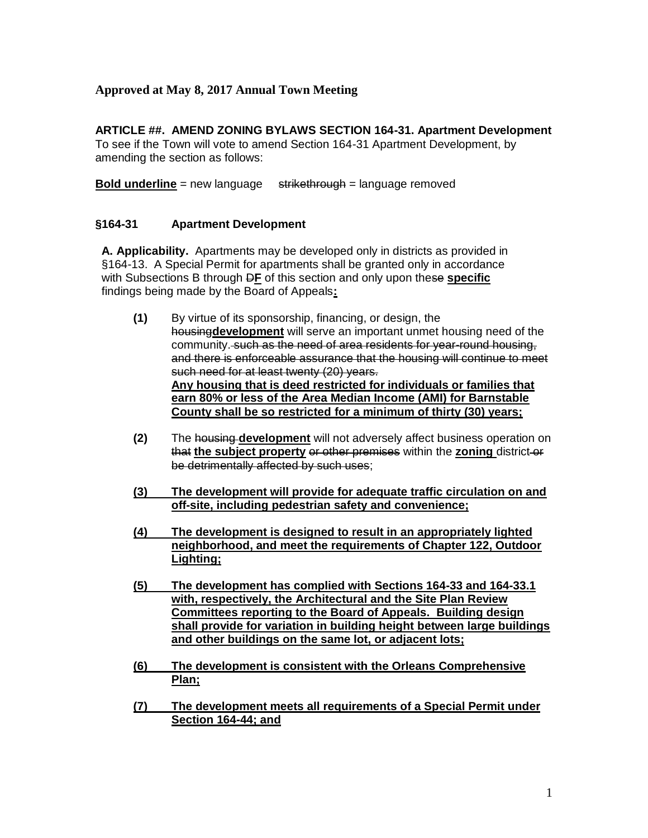# **Approved at May 8, 2017 Annual Town Meeting**

### **ARTICLE ##. AMEND ZONING BYLAWS SECTION 164-31. Apartment Development**

To see if the Town will vote to amend Section 164-31 Apartment Development, by amending the section as follows:

**Bold underline** = new language strikethrough = language removed

### **§164-31 Apartment Development**

**A. Applicability.** Apartments may be developed only in districts as provided in §164-13. A Special Permit for apartments shall be granted only in accordance with Subsections B through D**F** of this section and only upon these **specific**  findings being made by the Board of Appeals**:**

- **(1)** By virtue of its sponsorship, financing, or design, the housing**development** will serve an important unmet housing need of the community. such as the need of area residents for year-round housing, and there is enforceable assurance that the housing will continue to meet such need for at least twenty (20) years. **Any housing that is deed restricted for individuals or families that earn 80% or less of the Area Median Income (AMI) for Barnstable County shall be so restricted for a minimum of thirty (30) years;**
- **(2)** The housing **development** will not adversely affect business operation on that **the subject property** or other premises within the **zoning** district or be detrimentally affected by such uses;
- **(3) The development will provide for adequate traffic circulation on and off-site, including pedestrian safety and convenience;**
- **(4) The development is designed to result in an appropriately lighted neighborhood, and meet the requirements of Chapter 122, Outdoor Lighting;**
- **(5) The development has complied with Sections 164-33 and 164-33.1 with, respectively, the Architectural and the Site Plan Review Committees reporting to the Board of Appeals. Building design shall provide for variation in building height between large buildings and other buildings on the same lot, or adjacent lots;**
- **(6) The development is consistent with the Orleans Comprehensive Plan;**
- **(7) The development meets all requirements of a Special Permit under Section 164-44; and**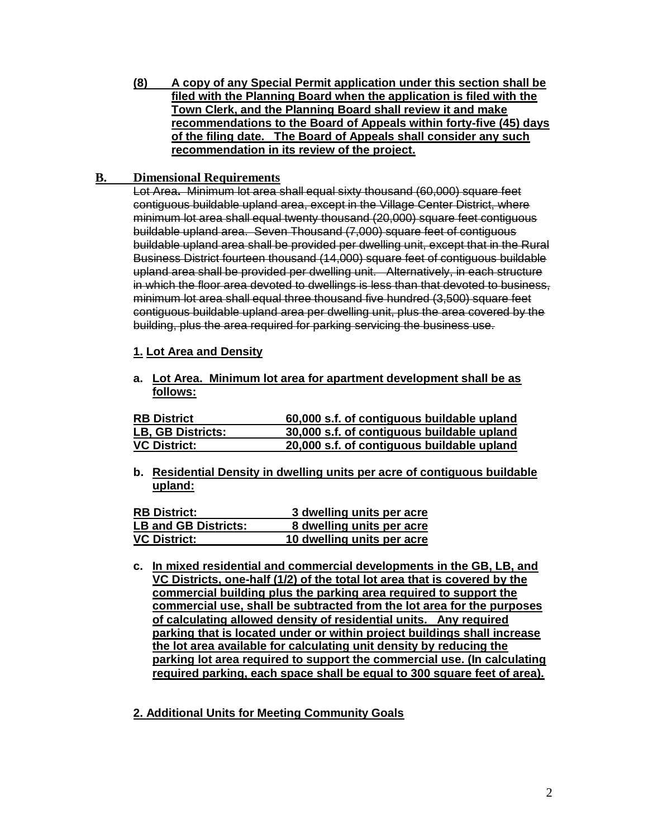**(8) A copy of any Special Permit application under this section shall be filed with the Planning Board when the application is filed with the Town Clerk, and the Planning Board shall review it and make recommendations to the Board of Appeals within forty-five (45) days of the filing date. The Board of Appeals shall consider any such recommendation in its review of the project.**

### **B. Dimensional Requirements**

Lot Area**.** Minimum lot area shall equal sixty thousand (60,000) square feet contiguous buildable upland area, except in the Village Center District, where minimum lot area shall equal twenty thousand (20,000) square feet contiguous buildable upland area. Seven Thousand (7,000) square feet of contiguous buildable upland area shall be provided per dwelling unit, except that in the Rural Business District fourteen thousand (14,000) square feet of contiguous buildable upland area shall be provided per dwelling unit. Alternatively, in each structure in which the floor area devoted to dwellings is less than that devoted to business, minimum lot area shall equal three thousand five hundred (3,500) square feet contiguous buildable upland area per dwelling unit, plus the area covered by the building, plus the area required for parking servicing the business use.

## **1. Lot Area and Density**

**a. Lot Area. Minimum lot area for apartment development shall be as follows:**

| <b>RB District</b>  | 60,000 s.f. of contiguous buildable upland |
|---------------------|--------------------------------------------|
| LB, GB Districts:   | 30,000 s.f. of contiguous buildable upland |
| <b>VC District:</b> | 20,000 s.f. of contiguous buildable upland |

**b. Residential Density in dwelling units per acre of contiguous buildable upland:** 

| <b>RB District:</b>         | 3 dwelling units per acre  |
|-----------------------------|----------------------------|
| <b>LB and GB Districts:</b> | 8 dwelling units per acre  |
| <b>VC District:</b>         | 10 dwelling units per acre |

- **c. In mixed residential and commercial developments in the GB, LB, and VC Districts, one-half (1/2) of the total lot area that is covered by the commercial building plus the parking area required to support the commercial use, shall be subtracted from the lot area for the purposes of calculating allowed density of residential units. Any required parking that is located under or within project buildings shall increase the lot area available for calculating unit density by reducing the parking lot area required to support the commercial use. (In calculating required parking, each space shall be equal to 300 square feet of area).**
- **2. Additional Units for Meeting Community Goals**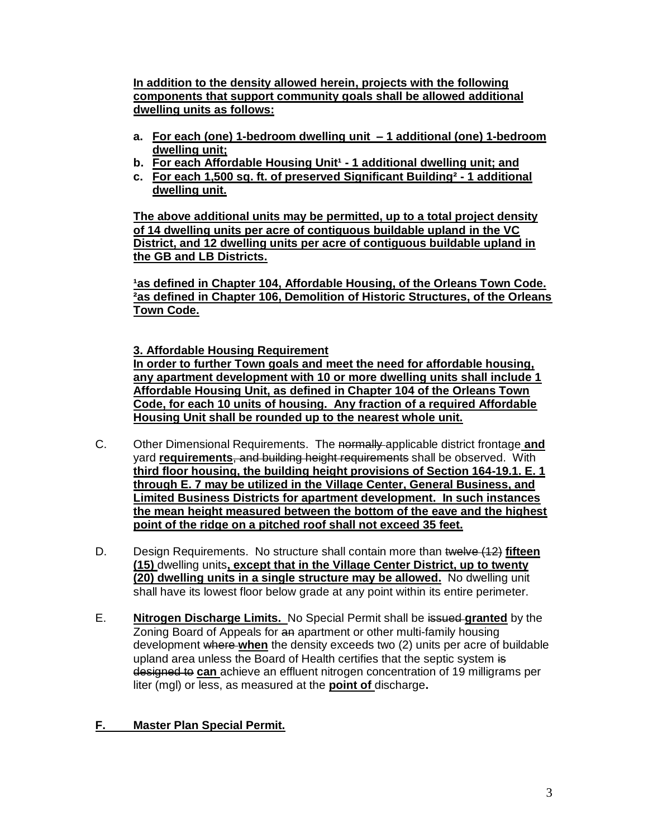**In addition to the density allowed herein, projects with the following components that support community goals shall be allowed additional dwelling units as follows:**

- **a. For each (one) 1-bedroom dwelling unit – 1 additional (one) 1-bedroom dwelling unit;**
- **b.** For each Affordable Housing Unit<sup>1</sup> 1 additional dwelling unit; and
- **c. For each 1,500 sq. ft. of preserved Significant Building² - 1 additional dwelling unit.**

**The above additional units may be permitted, up to a total project density of 14 dwelling units per acre of contiguous buildable upland in the VC District, and 12 dwelling units per acre of contiguous buildable upland in the GB and LB Districts.**

1as defined in Chapter 104, Affordable Housing, of the Orleans Town Code. **²as defined in Chapter 106, Demolition of Historic Structures, of the Orleans Town Code.**

**3. Affordable Housing Requirement**

**In order to further Town goals and meet the need for affordable housing, any apartment development with 10 or more dwelling units shall include 1 Affordable Housing Unit, as defined in Chapter 104 of the Orleans Town Code, for each 10 units of housing. Any fraction of a required Affordable Housing Unit shall be rounded up to the nearest whole unit.**

- C. Other Dimensional Requirements. The normally applicable district frontage **and** yard **requirements**, and building height requirements shall be observed. With **third floor housing, the building height provisions of Section 164-19.1. E. 1 through E. 7 may be utilized in the Village Center, General Business, and Limited Business Districts for apartment development. In such instances the mean height measured between the bottom of the eave and the highest point of the ridge on a pitched roof shall not exceed 35 feet.**
- D. Design Requirements.No structure shall contain more than twelve (12) **fifteen (15)** dwelling units**, except that in the Village Center District, up to twenty (20) dwelling units in a single structure may be allowed.** No dwelling unit shall have its lowest floor below grade at any point within its entire perimeter.
- E. **Nitrogen Discharge Limits.** No Special Permit shall be issued **granted** by the Zoning Board of Appeals for an apartment or other multi-family housing development where **when** the density exceeds two (2) units per acre of buildable upland area unless the Board of Health certifies that the septic system is designed to **can** achieve an effluent nitrogen concentration of 19 milligrams per liter (mgl) or less, as measured at the **point of** discharge**.**

# **F. Master Plan Special Permit.**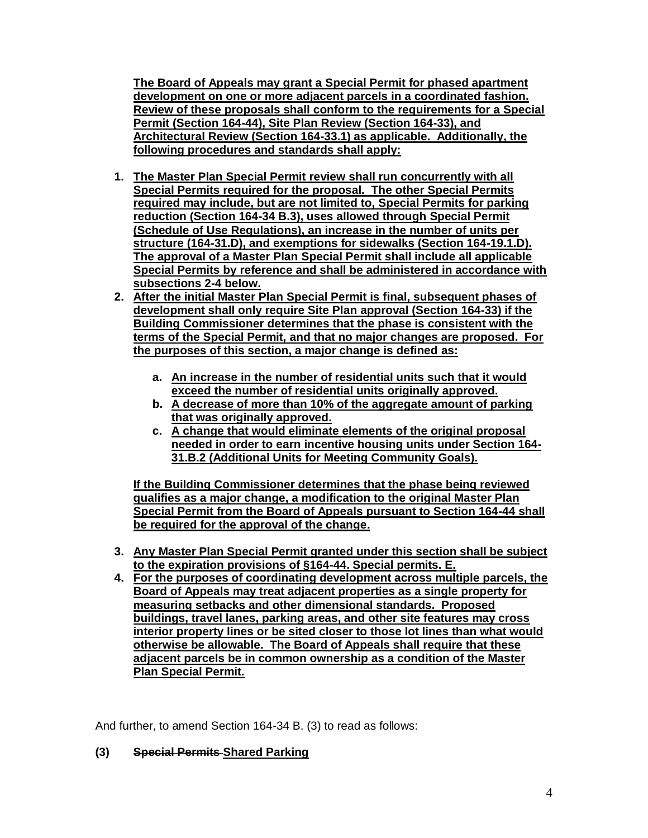**The Board of Appeals may grant a Special Permit for phased apartment development on one or more adjacent parcels in a coordinated fashion. Review of these proposals shall conform to the requirements for a Special Permit (Section 164-44), Site Plan Review (Section 164-33), and Architectural Review (Section 164-33.1) as applicable. Additionally, the following procedures and standards shall apply:**

- **1. The Master Plan Special Permit review shall run concurrently with all Special Permits required for the proposal. The other Special Permits required may include, but are not limited to, Special Permits for parking reduction (Section 164-34 B.3), uses allowed through Special Permit (Schedule of Use Regulations), an increase in the number of units per structure (164-31.D), and exemptions for sidewalks (Section 164-19.1.D). The approval of a Master Plan Special Permit shall include all applicable Special Permits by reference and shall be administered in accordance with subsections 2-4 below.**
- **2. After the initial Master Plan Special Permit is final, subsequent phases of development shall only require Site Plan approval (Section 164-33) if the Building Commissioner determines that the phase is consistent with the terms of the Special Permit, and that no major changes are proposed. For the purposes of this section, a major change is defined as:**
	- **a. An increase in the number of residential units such that it would exceed the number of residential units originally approved.**
	- **b. A decrease of more than 10% of the aggregate amount of parking that was originally approved.**
	- **c. A change that would eliminate elements of the original proposal needed in order to earn incentive housing units under Section 164- 31.B.2 (Additional Units for Meeting Community Goals).**

**If the Building Commissioner determines that the phase being reviewed qualifies as a major change, a modification to the original Master Plan Special Permit from the Board of Appeals pursuant to Section 164-44 shall be required for the approval of the change.**

- **3. Any Master Plan Special Permit granted under this section shall be subject to the expiration provisions of §164-44. Special permits. E.**
- **4. For the purposes of coordinating development across multiple parcels, the Board of Appeals may treat adjacent properties as a single property for measuring setbacks and other dimensional standards. Proposed buildings, travel lanes, parking areas, and other site features may cross interior property lines or be sited closer to those lot lines than what would otherwise be allowable. The Board of Appeals shall require that these adjacent parcels be in common ownership as a condition of the Master Plan Special Permit.**

And further, to amend Section 164-34 B. (3) to read as follows:

# **(3) Special Permits Shared Parking**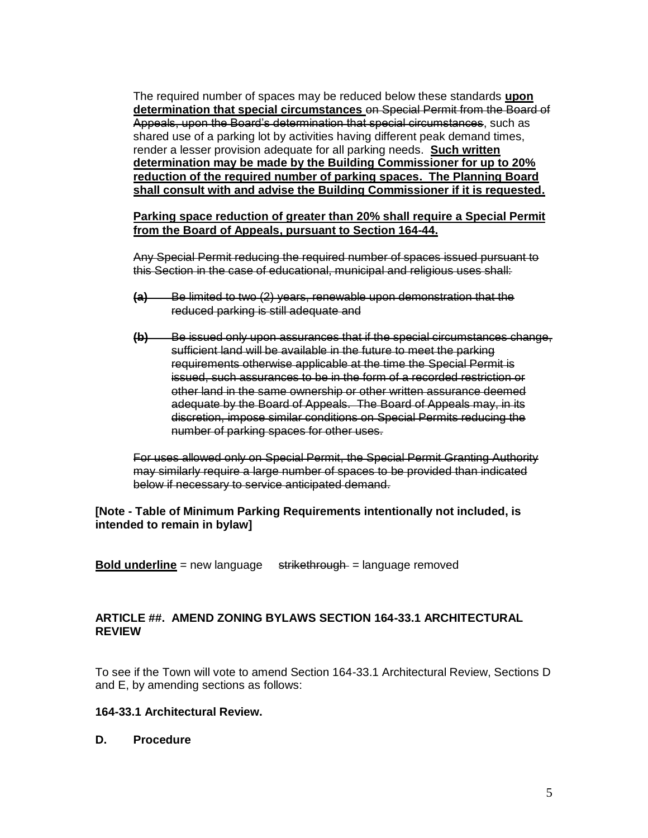The required number of spaces may be reduced below these standards **upon determination that special circumstances** on Special Permit from the Board of Appeals, upon the Board's determination that special circumstances, such as shared use of a parking lot by activities having different peak demand times, render a lesser provision adequate for all parking needs. **Such written determination may be made by the Building Commissioner for up to 20% reduction of the required number of parking spaces. The Planning Board shall consult with and advise the Building Commissioner if it is requested.** 

#### **Parking space reduction of greater than 20% shall require a Special Permit from the Board of Appeals, pursuant to Section 164-44.**

Any Special Permit reducing the required number of spaces issued pursuant to this Section in the case of educational, municipal and religious uses shall:

- **(a)** Be limited to two (2) years, renewable upon demonstration that the reduced parking is still adequate and
- **(b)** Be issued only upon assurances that if the special circumstances change, sufficient land will be available in the future to meet the parking requirements otherwise applicable at the time the Special Permit is issued, such assurances to be in the form of a recorded restriction or other land in the same ownership or other written assurance deemed adequate by the Board of Appeals. The Board of Appeals may, in its discretion, impose similar conditions on Special Permits reducing the number of parking spaces for other uses.

For uses allowed only on Special Permit, the Special Permit Granting Authority may similarly require a large number of spaces to be provided than indicated below if necessary to service anticipated demand.

#### **[Note - Table of Minimum Parking Requirements intentionally not included, is intended to remain in bylaw]**

**Bold underline** = new language strikethrough = language removed

## **ARTICLE ##. AMEND ZONING BYLAWS SECTION 164-33.1 ARCHITECTURAL REVIEW**

To see if the Town will vote to amend Section 164-33.1 Architectural Review, Sections D and E, by amending sections as follows:

### **164-33.1 Architectural Review.**

**D. Procedure**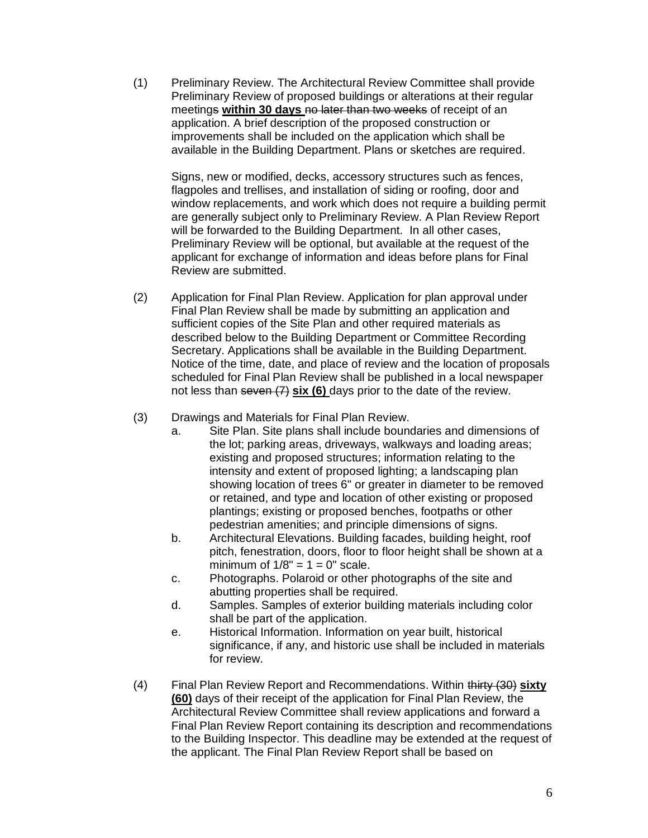(1) Preliminary Review. The Architectural Review Committee shall provide Preliminary Review of proposed buildings or alterations at their regular meetings **within 30 days** no later than two weeks of receipt of an application. A brief description of the proposed construction or improvements shall be included on the application which shall be available in the Building Department. Plans or sketches are required.

Signs, new or modified, decks, accessory structures such as fences, flagpoles and trellises, and installation of siding or roofing, door and window replacements, and work which does not require a building permit are generally subject only to Preliminary Review. A Plan Review Report will be forwarded to the Building Department. In all other cases, Preliminary Review will be optional, but available at the request of the applicant for exchange of information and ideas before plans for Final Review are submitted.

- (2) Application for Final Plan Review. Application for plan approval under Final Plan Review shall be made by submitting an application and sufficient copies of the Site Plan and other required materials as described below to the Building Department or Committee Recording Secretary. Applications shall be available in the Building Department. Notice of the time, date, and place of review and the location of proposals scheduled for Final Plan Review shall be published in a local newspaper not less than seven (7) **six (6)** days prior to the date of the review.
- (3) Drawings and Materials for Final Plan Review.
	- a. Site Plan. Site plans shall include boundaries and dimensions of the lot; parking areas, driveways, walkways and loading areas; existing and proposed structures; information relating to the intensity and extent of proposed lighting; a landscaping plan showing location of trees 6" or greater in diameter to be removed or retained, and type and location of other existing or proposed plantings; existing or proposed benches, footpaths or other pedestrian amenities; and principle dimensions of signs.
	- b. Architectural Elevations. Building facades, building height, roof pitch, fenestration, doors, floor to floor height shall be shown at a minimum of  $1/8" = 1 = 0"$  scale.
	- c. Photographs. Polaroid or other photographs of the site and abutting properties shall be required.
	- d. Samples. Samples of exterior building materials including color shall be part of the application.
	- e. Historical Information. Information on year built, historical significance, if any, and historic use shall be included in materials for review.
- (4) Final Plan Review Report and Recommendations. Within thirty (30) **sixty (60)** days of their receipt of the application for Final Plan Review, the Architectural Review Committee shall review applications and forward a Final Plan Review Report containing its description and recommendations to the Building Inspector. This deadline may be extended at the request of the applicant. The Final Plan Review Report shall be based on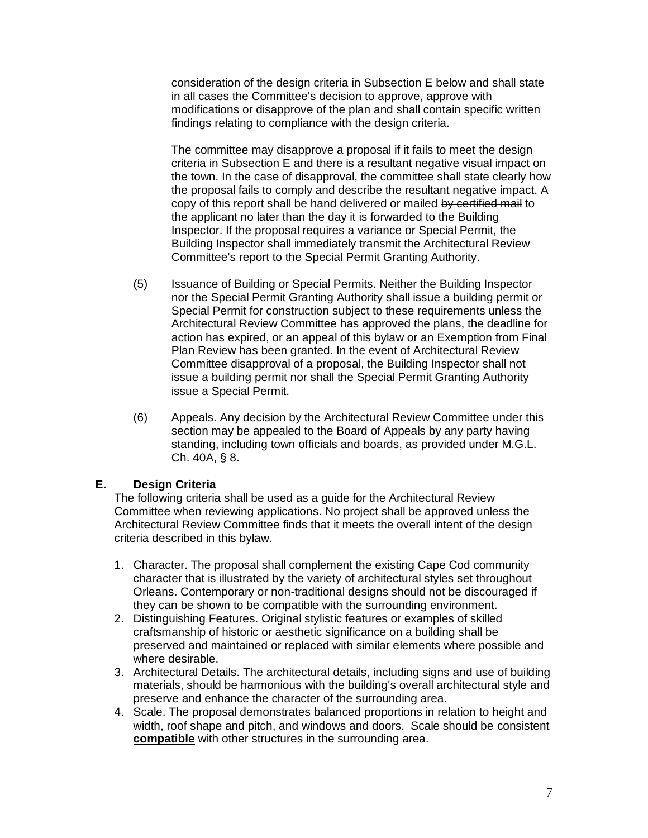consideration of the design criteria in Subsection E below and shall state in all cases the Committee's decision to approve, approve with modifications or disapprove of the plan and shall contain specific written findings relating to compliance with the design criteria.

The committee may disapprove a proposal if it fails to meet the design criteria in Subsection E and there is a resultant negative visual impact on the town. In the case of disapproval, the committee shall state clearly how the proposal fails to comply and describe the resultant negative impact. A copy of this report shall be hand delivered or mailed by certified mail to the applicant no later than the day it is forwarded to the Building Inspector. If the proposal requires a variance or Special Permit, the Building Inspector shall immediately transmit the Architectural Review Committee's report to the Special Permit Granting Authority.

- (5) Issuance of Building or Special Permits. Neither the Building Inspector nor the Special Permit Granting Authority shall issue a building permit or Special Permit for construction subject to these requirements unless the Architectural Review Committee has approved the plans, the deadline for action has expired, or an appeal of this bylaw or an Exemption from Final Plan Review has been granted. In the event of Architectural Review Committee disapproval of a proposal, the Building Inspector shall not issue a building permit nor shall the Special Permit Granting Authority issue a Special Permit.
- (6) Appeals. Any decision by the Architectural Review Committee under this section may be appealed to the Board of Appeals by any party having standing, including town officials and boards, as provided under M.G.L. Ch. 40A, § 8.

### **E. Design Criteria**

The following criteria shall be used as a guide for the Architectural Review Committee when reviewing applications. No project shall be approved unless the Architectural Review Committee finds that it meets the overall intent of the design criteria described in this bylaw.

- 1. Character. The proposal shall complement the existing Cape Cod community character that is illustrated by the variety of architectural styles set throughout Orleans. Contemporary or non-traditional designs should not be discouraged if they can be shown to be compatible with the surrounding environment.
- 2. Distinguishing Features. Original stylistic features or examples of skilled craftsmanship of historic or aesthetic significance on a building shall be preserved and maintained or replaced with similar elements where possible and where desirable.
- 3. Architectural Details. The architectural details, including signs and use of building materials, should be harmonious with the building's overall architectural style and preserve and enhance the character of the surrounding area.
- 4. Scale. The proposal demonstrates balanced proportions in relation to height and width, roof shape and pitch, and windows and doors. Scale should be consistent **compatible** with other structures in the surrounding area.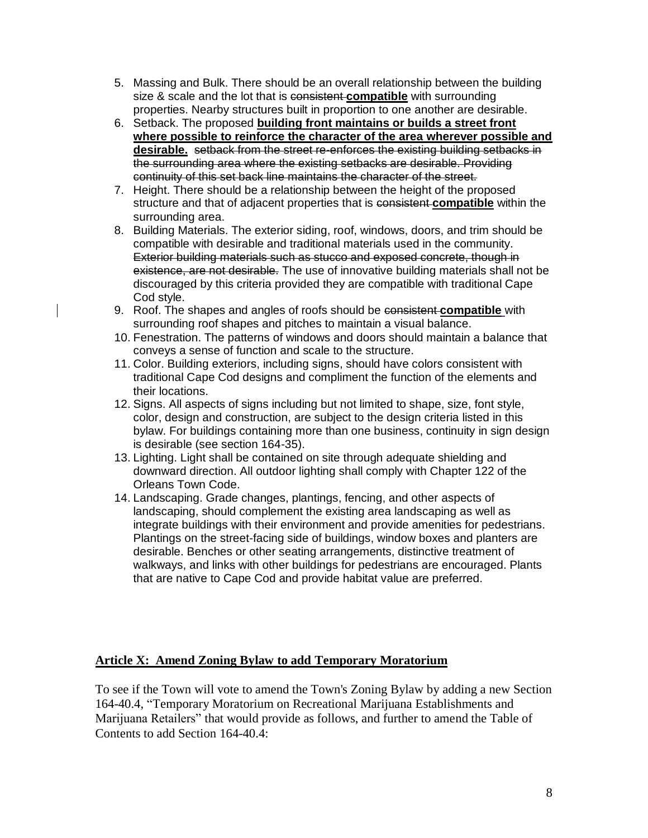- 5. Massing and Bulk. There should be an overall relationship between the building size & scale and the lot that is consistent **compatible** with surrounding properties. Nearby structures built in proportion to one another are desirable.
- 6. Setback. The proposed **building front maintains or builds a street front where possible to reinforce the character of the area wherever possible and desirable.** setback from the street re-enforces the existing building setbacks in the surrounding area where the existing setbacks are desirable. Providing continuity of this set back line maintains the character of the street.
- 7. Height. There should be a relationship between the height of the proposed structure and that of adjacent properties that is consistent **compatible** within the surrounding area.
- 8. Building Materials. The exterior siding, roof, windows, doors, and trim should be compatible with desirable and traditional materials used in the community. Exterior building materials such as stucco and exposed concrete, though in existence, are not desirable. The use of innovative building materials shall not be discouraged by this criteria provided they are compatible with traditional Cape Cod style.
- 9. Roof. The shapes and angles of roofs should be consistent **compatible** with surrounding roof shapes and pitches to maintain a visual balance.
- 10. Fenestration. The patterns of windows and doors should maintain a balance that conveys a sense of function and scale to the structure.
- 11. Color. Building exteriors, including signs, should have colors consistent with traditional Cape Cod designs and compliment the function of the elements and their locations.
- 12. Signs. All aspects of signs including but not limited to shape, size, font style, color, design and construction, are subject to the design criteria listed in this bylaw. For buildings containing more than one business, continuity in sign design is desirable (see section 164-35).
- 13. Lighting. Light shall be contained on site through adequate shielding and downward direction. All outdoor lighting shall comply with Chapter 122 of the Orleans Town Code.
- 14. Landscaping. Grade changes, plantings, fencing, and other aspects of landscaping, should complement the existing area landscaping as well as integrate buildings with their environment and provide amenities for pedestrians. Plantings on the street-facing side of buildings, window boxes and planters are desirable. Benches or other seating arrangements, distinctive treatment of walkways, and links with other buildings for pedestrians are encouraged. Plants that are native to Cape Cod and provide habitat value are preferred.

# **Article X: Amend Zoning Bylaw to add Temporary Moratorium**

To see if the Town will vote to amend the Town's Zoning Bylaw by adding a new Section 164-40.4, "Temporary Moratorium on Recreational Marijuana Establishments and Marijuana Retailers" that would provide as follows, and further to amend the Table of Contents to add Section 164-40.4: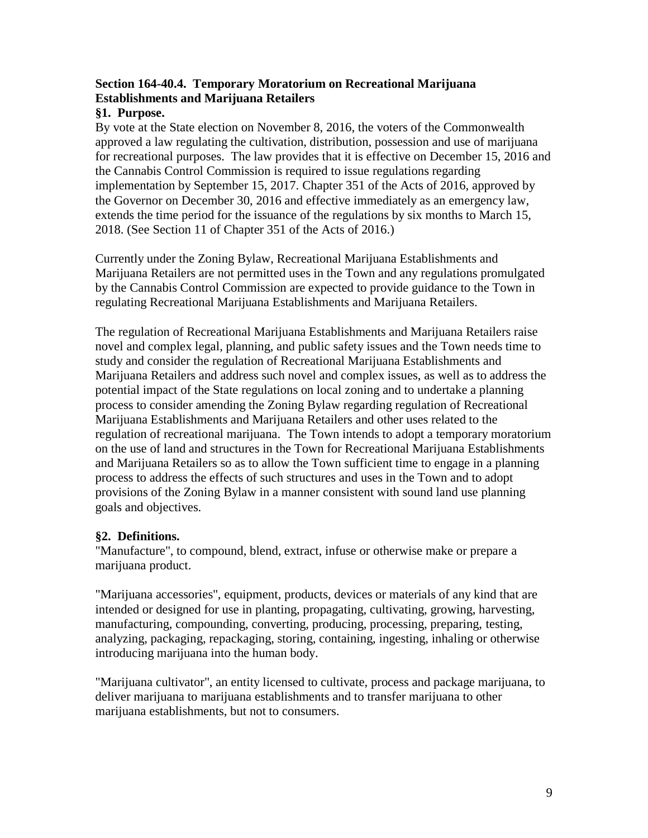# **Section 164-40.4. Temporary Moratorium on Recreational Marijuana Establishments and Marijuana Retailers**

# **§1. Purpose.**

By vote at the State election on November 8, 2016, the voters of the Commonwealth approved a law regulating the cultivation, distribution, possession and use of marijuana for recreational purposes. The law provides that it is effective on December 15, 2016 and the Cannabis Control Commission is required to issue regulations regarding implementation by September 15, 2017. Chapter 351 of the Acts of 2016, approved by the Governor on December 30, 2016 and effective immediately as an emergency law, extends the time period for the issuance of the regulations by six months to March 15, 2018. (See Section 11 of Chapter 351 of the Acts of 2016.)

Currently under the Zoning Bylaw, Recreational Marijuana Establishments and Marijuana Retailers are not permitted uses in the Town and any regulations promulgated by the Cannabis Control Commission are expected to provide guidance to the Town in regulating Recreational Marijuana Establishments and Marijuana Retailers.

The regulation of Recreational Marijuana Establishments and Marijuana Retailers raise novel and complex legal, planning, and public safety issues and the Town needs time to study and consider the regulation of Recreational Marijuana Establishments and Marijuana Retailers and address such novel and complex issues, as well as to address the potential impact of the State regulations on local zoning and to undertake a planning process to consider amending the Zoning Bylaw regarding regulation of Recreational Marijuana Establishments and Marijuana Retailers and other uses related to the regulation of recreational marijuana. The Town intends to adopt a temporary moratorium on the use of land and structures in the Town for Recreational Marijuana Establishments and Marijuana Retailers so as to allow the Town sufficient time to engage in a planning process to address the effects of such structures and uses in the Town and to adopt provisions of the Zoning Bylaw in a manner consistent with sound land use planning goals and objectives.

# **§2. Definitions.**

"Manufacture", to compound, blend, extract, infuse or otherwise make or prepare a marijuana product.

"Marijuana accessories", equipment, products, devices or materials of any kind that are intended or designed for use in planting, propagating, cultivating, growing, harvesting, manufacturing, compounding, converting, producing, processing, preparing, testing, analyzing, packaging, repackaging, storing, containing, ingesting, inhaling or otherwise introducing marijuana into the human body.

"Marijuana cultivator", an entity licensed to cultivate, process and package marijuana, to deliver marijuana to marijuana establishments and to transfer marijuana to other marijuana establishments, but not to consumers.